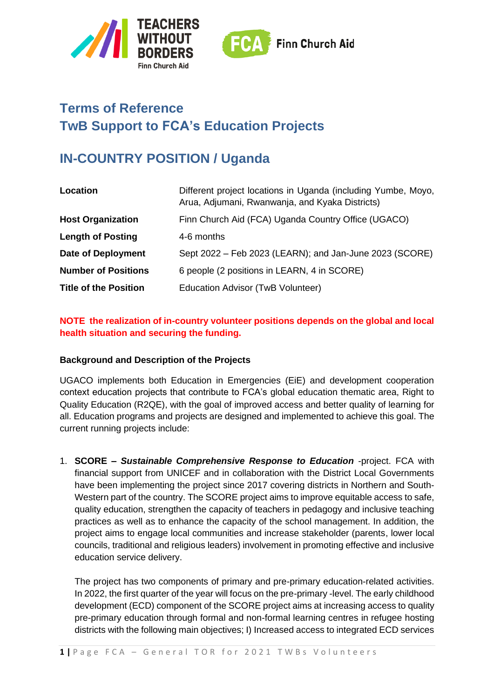



# **Terms of Reference TwB Support to FCA's Education Projects**

# **IN-COUNTRY POSITION / Uganda**

| Location                     | Different project locations in Uganda (including Yumbe, Moyo,<br>Arua, Adjumani, Rwanwanja, and Kyaka Districts) |
|------------------------------|------------------------------------------------------------------------------------------------------------------|
| <b>Host Organization</b>     | Finn Church Aid (FCA) Uganda Country Office (UGACO)                                                              |
| <b>Length of Posting</b>     | 4-6 months                                                                                                       |
| <b>Date of Deployment</b>    | Sept 2022 – Feb 2023 (LEARN); and Jan-June 2023 (SCORE)                                                          |
| <b>Number of Positions</b>   | 6 people (2 positions in LEARN, 4 in SCORE)                                                                      |
| <b>Title of the Position</b> | Education Advisor (TwB Volunteer)                                                                                |

## **NOTE the realization of in-country volunteer positions depends on the global and local health situation and securing the funding.**

#### **Background and Description of the Projects**

UGACO implements both Education in Emergencies (EiE) and development cooperation context education projects that contribute to FCA's global education thematic area, Right to Quality Education (R2QE), with the goal of improved access and better quality of learning for all. Education programs and projects are designed and implemented to achieve this goal. The current running projects include:

1. **SCORE –** *Sustainable Comprehensive Response to Education* -project. FCA with financial support from UNICEF and in collaboration with the District Local Governments have been implementing the project since 2017 covering districts in Northern and South-Western part of the country. The SCORE project aims to improve equitable access to safe, quality education, strengthen the capacity of teachers in pedagogy and inclusive teaching practices as well as to enhance the capacity of the school management. In addition, the project aims to engage local communities and increase stakeholder (parents, lower local councils, traditional and religious leaders) involvement in promoting effective and inclusive education service delivery.

The project has two components of primary and pre-primary education-related activities. In 2022, the first quarter of the year will focus on the pre-primary -level. The early childhood development (ECD) component of the SCORE project aims at increasing access to quality pre-primary education through formal and non-formal learning centres in refugee hosting districts with the following main objectives; I) Increased access to integrated ECD services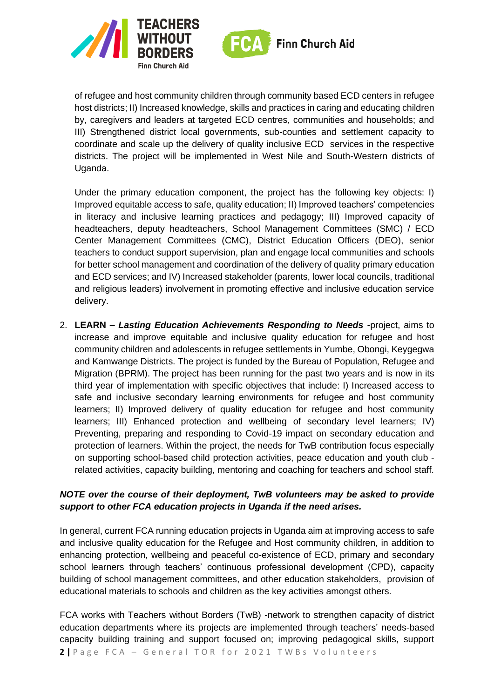



of refugee and host community children through community based ECD centers in refugee host districts; II) Increased knowledge, skills and practices in caring and educating children by, caregivers and leaders at targeted ECD centres, communities and households; and III) Strengthened district local governments, sub-counties and settlement capacity to coordinate and scale up the delivery of quality inclusive ECD services in the respective districts. The project will be implemented in West Nile and South-Western districts of Uganda.

Under the primary education component, the project has the following key objects: I) Improved equitable access to safe, quality education; II) Improved teachers' competencies in literacy and inclusive learning practices and pedagogy; III) Improved capacity of headteachers, deputy headteachers, School Management Committees (SMC) / ECD Center Management Committees (CMC), District Education Officers (DEO), senior teachers to conduct support supervision, plan and engage local communities and schools for better school management and coordination of the delivery of quality primary education and ECD services; and IV) Increased stakeholder (parents, lower local councils, traditional and religious leaders) involvement in promoting effective and inclusive education service delivery.

2. **LEARN –** *Lasting Education Achievements Responding to Needs* -project, aims to increase and improve equitable and inclusive quality education for refugee and host community children and adolescents in refugee settlements in Yumbe, Obongi, Keygegwa and Kamwange Districts. The project is funded by the Bureau of Population, Refugee and Migration (BPRM). The project has been running for the past two years and is now in its third year of implementation with specific objectives that include: I) Increased access to safe and inclusive secondary learning environments for refugee and host community learners; II) Improved delivery of quality education for refugee and host community learners; III) Enhanced protection and wellbeing of secondary level learners; IV) Preventing, preparing and responding to Covid-19 impact on secondary education and protection of learners. Within the project, the needs for TwB contribution focus especially on supporting school-based child protection activities, peace education and youth club related activities, capacity building, mentoring and coaching for teachers and school staff.

#### *NOTE over the course of their deployment, TwB volunteers may be asked to provide support to other FCA education projects in Uganda if the need arises.*

In general, current FCA running education projects in Uganda aim at improving access to safe and inclusive quality education for the Refugee and Host community children, in addition to enhancing protection, wellbeing and peaceful co-existence of ECD, primary and secondary school learners through teachers' continuous professional development (CPD), capacity building of school management committees, and other education stakeholders, provision of educational materials to schools and children as the key activities amongst others.

**2** | Page FCA - General TOR for 2021 TWBs Volunteers FCA works with Teachers without Borders (TwB) -network to strengthen capacity of district education departments where its projects are implemented through teachers' needs-based capacity building training and support focused on; improving pedagogical skills, support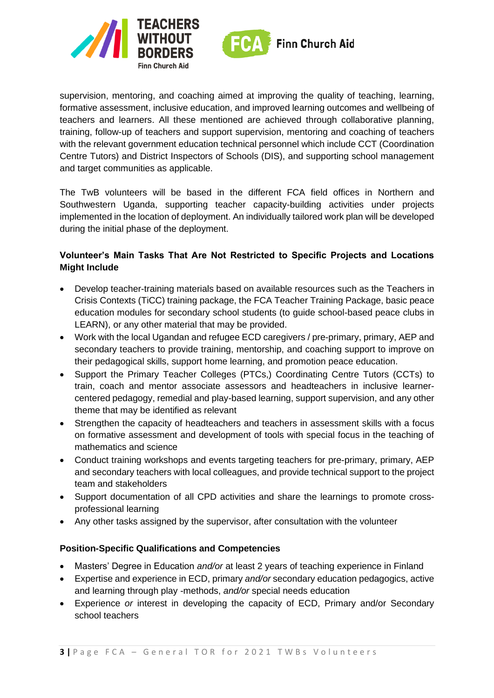

supervision, mentoring, and coaching aimed at improving the quality of teaching, learning, formative assessment, inclusive education, and improved learning outcomes and wellbeing of teachers and learners. All these mentioned are achieved through collaborative planning, training, follow-up of teachers and support supervision, mentoring and coaching of teachers with the relevant government education technical personnel which include CCT (Coordination Centre Tutors) and District Inspectors of Schools (DIS), and supporting school management and target communities as applicable.

The TwB volunteers will be based in the different FCA field offices in Northern and Southwestern Uganda, supporting teacher capacity-building activities under projects implemented in the location of deployment. An individually tailored work plan will be developed during the initial phase of the deployment.

### **Volunteer's Main Tasks That Are Not Restricted to Specific Projects and Locations Might Include**

- Develop teacher-training materials based on available resources such as the Teachers in Crisis Contexts (TiCC) training package, the FCA Teacher Training Package, basic peace education modules for secondary school students (to guide school-based peace clubs in LEARN), or any other material that may be provided.
- Work with the local Ugandan and refugee ECD caregivers / pre-primary, primary, AEP and secondary teachers to provide training, mentorship, and coaching support to improve on their pedagogical skills, support home learning, and promotion peace education.
- Support the Primary Teacher Colleges (PTCs,) Coordinating Centre Tutors (CCTs) to train, coach and mentor associate assessors and headteachers in inclusive learnercentered pedagogy, remedial and play-based learning, support supervision, and any other theme that may be identified as relevant
- Strengthen the capacity of headteachers and teachers in assessment skills with a focus on formative assessment and development of tools with special focus in the teaching of mathematics and science
- Conduct training workshops and events targeting teachers for pre-primary, primary, AEP and secondary teachers with local colleagues, and provide technical support to the project team and stakeholders
- Support documentation of all CPD activities and share the learnings to promote crossprofessional learning
- Any other tasks assigned by the supervisor, after consultation with the volunteer

#### **Position-Specific Qualifications and Competencies**

- Masters' Degree in Education *and/or* at least 2 years of teaching experience in Finland
- Expertise and experience in ECD, primary *and/or* secondary education pedagogics, active and learning through play -methods, *and/or* special needs education
- Experience *or* interest in developing the capacity of ECD, Primary and/or Secondary school teachers